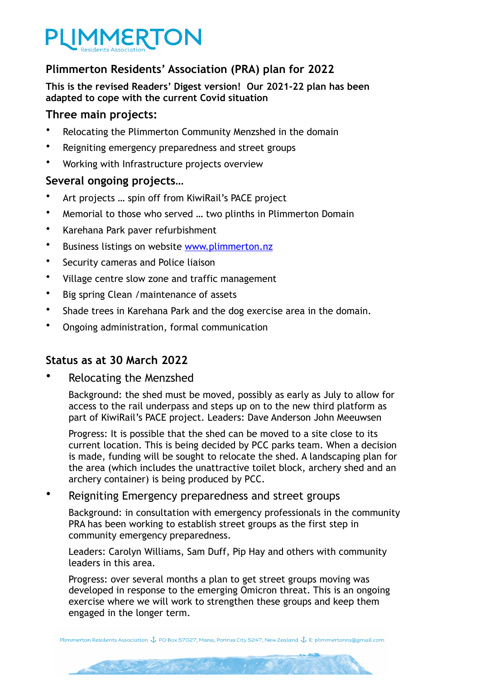

# **Plimmerton Residents' Association (PRA) plan for 2022**

**This is the revised Readers' Digest version! Our 2021-22 plan has been adapted to cope with the current Covid situation**

## **Three main projects:**

- Relocating the Plimmerton Community Menzshed in the domain
- Reigniting emergency preparedness and street groups
- Working with Infrastructure projects overview

## **Several ongoing projects…**

- Art projects … spin off from KiwiRail's PACE project
- Memorial to those who served … two plinths in Plimmerton Domain
- Karehana Park paver refurbishment
- Business listings on website [www.plimmerton.nz](http://www.plimmerton.nz)
- Security cameras and Police liaison
- Village centre slow zone and traffic management
- Big spring Clean /maintenance of assets
- Shade trees in Karehana Park and the dog exercise area in the domain.
- Ongoing administration, formal communication

Per De Land Ball

# **Status as at 30 March 2022**

Relocating the Menzshed

Background: the shed must be moved, possibly as early as July to allow for access to the rail underpass and steps up on to the new third platform as part of KiwiRail's PACE project. Leaders: Dave Anderson John Meeuwsen

Progress: It is possible that the shed can be moved to a site close to its current location. This is being decided by PCC parks team. When a decision is made, funding will be sought to relocate the shed. A landscaping plan for the area (which includes the unattractive toilet block, archery shed and an archery container) is being produced by PCC.

Reigniting Emergency preparedness and street groups

Background: in consultation with emergency professionals in the community PRA has been working to establish street groups as the first step in community emergency preparedness.

Leaders: Carolyn Williams, Sam Duff, Pip Hay and others with community leaders in this area.

Progress: over several months a plan to get street groups moving was developed in response to the emerging Omicron threat. This is an ongoing exercise where we will work to strengthen these groups and keep them engaged in the longer term.

Plimmerton Residents Association \$ PO Box 57027, Mana, Porirua City 5247, New Zealand \$ E: plimmertonra@gmail.com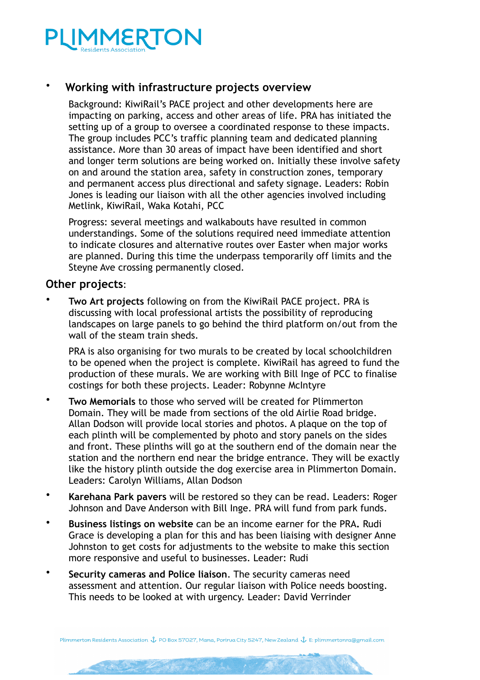

## • **Working with infrastructure projects overview**

Background: KiwiRail's PACE project and other developments here are impacting on parking, access and other areas of life. PRA has initiated the setting up of a group to oversee a coordinated response to these impacts. The group includes PCC's traffic planning team and dedicated planning assistance. More than 30 areas of impact have been identified and short and longer term solutions are being worked on. Initially these involve safety on and around the station area, safety in construction zones, temporary and permanent access plus directional and safety signage. Leaders: Robin Jones is leading our liaison with all the other agencies involved including Metlink, KiwiRail, Waka Kotahi, PCC

Progress: several meetings and walkabouts have resulted in common understandings. Some of the solutions required need immediate attention to indicate closures and alternative routes over Easter when major works are planned. During this time the underpass temporarily off limits and the Steyne Ave crossing permanently closed.

#### **Other projects**:

• **Two Art projects** following on from the KiwiRail PACE project. PRA is discussing with local professional artists the possibility of reproducing landscapes on large panels to go behind the third platform on/out from the wall of the steam train sheds.

PRA is also organising for two murals to be created by local schoolchildren to be opened when the project is complete. KiwiRail has agreed to fund the production of these murals. We are working with Bill Inge of PCC to finalise costings for both these projects. Leader: Robynne McIntyre

- **Two Memorials** to those who served will be created for Plimmerton Domain. They will be made from sections of the old Airlie Road bridge. Allan Dodson will provide local stories and photos. A plaque on the top of each plinth will be complemented by photo and story panels on the sides and front. These plinths will go at the southern end of the domain near the station and the northern end near the bridge entrance. They will be exactly like the history plinth outside the dog exercise area in Plimmerton Domain. Leaders: Carolyn Williams, Allan Dodson
- **Karehana Park pavers** will be restored so they can be read. Leaders: Roger Johnson and Dave Anderson with Bill Inge. PRA will fund from park funds.
- **Business listings on website** can be an income earner for the PRA**.** Rudi Grace is developing a plan for this and has been liaising with designer Anne Johnston to get costs for adjustments to the website to make this section more responsive and useful to businesses. Leader: Rudi
- **Security cameras and Police liaison**. The security cameras need assessment and attention. Our regular liaison with Police needs boosting. This needs to be looked at with urgency. Leader: David Verrinder

Plimmerton Residents Association & PO Box 57027, Mana, Porirua City 5247, New Zealand & E: plimmertonra@gmail.com

Salle to any of